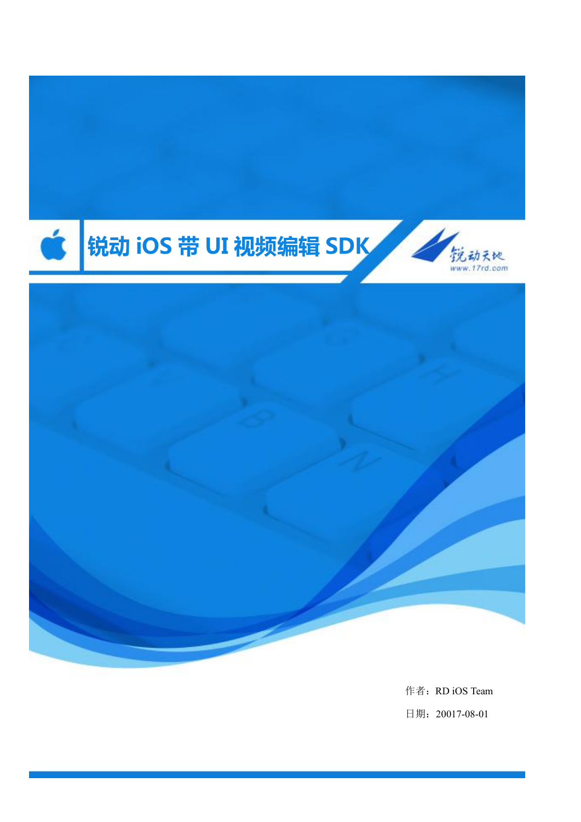

作者:RD iOS Team 日期:20017-08-01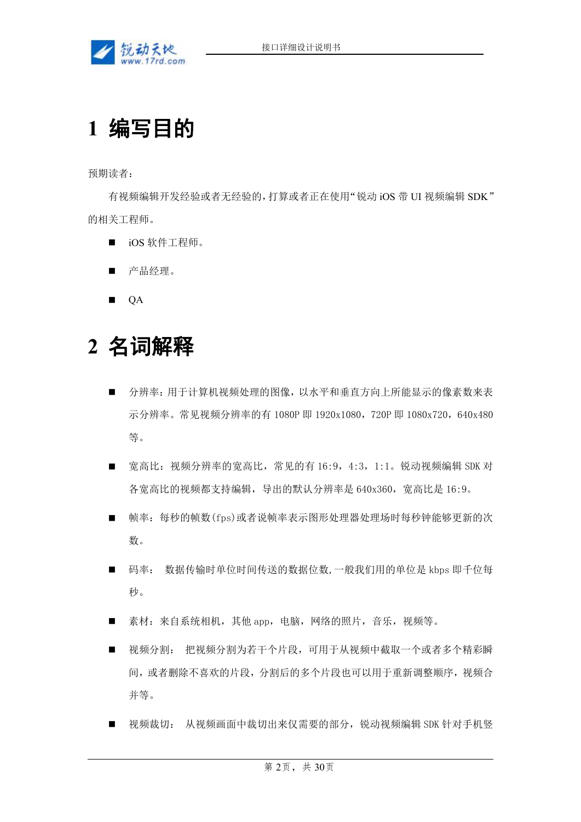

# **1** 编写目的

预期读者:

有视频编辑开发经验或者无经验的,打算或者正在使用"锐动 iOS 带 UI 视频编辑 SDK" 的相关工程师。

- iOS 软件工程师。
- 产品经理。
- **QA**

# **2** 名词解释

- 分辨率:用于计算机视频处理的图像,以水平和垂直方向上所能显示的像素数来表 示分辨率。常见视频分辨率的有 1080P 即 1920x1080, 720P 即 1080x720, 640x480 等。
- 宽高比: 视频分辨率的宽高比, 常见的有 16:9, 4:3, 1:1。锐动视频编辑 SDK 对 各宽高比的视频都支持编辑,导出的默认分辨率是 640x360,宽高比是 16:9。
- 帧率: 每秒的帧数(fps)或者说帧率表示图形处理器处理场时每秒钟能够更新的次 数。
- 码率: 数据传输时单位时间传送的数据位数,一般我们用的单位是 kbps 即千位每  $\psi$  。 we are the contract of  $\psi$  and  $\psi$  and  $\psi$  and  $\psi$  and  $\psi$  and  $\psi$  and  $\psi$  and  $\psi$  and  $\psi$  and  $\psi$  and  $\psi$  and  $\psi$  and  $\psi$  and  $\psi$  and  $\psi$  and  $\psi$  and  $\psi$  and  $\psi$  and  $\psi$  and  $\psi$  and  $\psi$  and
- 素材: 来自系统相机, 其他 app, 电脑, 网络的照片, 音乐, 视频等。
- 视频分割: 把视频分割为若干个片段,可用于从视频中截取一个或者多个精彩瞬 间,或者删除不喜欢的片段,分割后的多个片段也可以用于重新调整顺序,视频合 并等。
- 视频裁切: 从视频画面中裁切出来仅需要的部分,锐动视频编辑 SDK 针对手机竖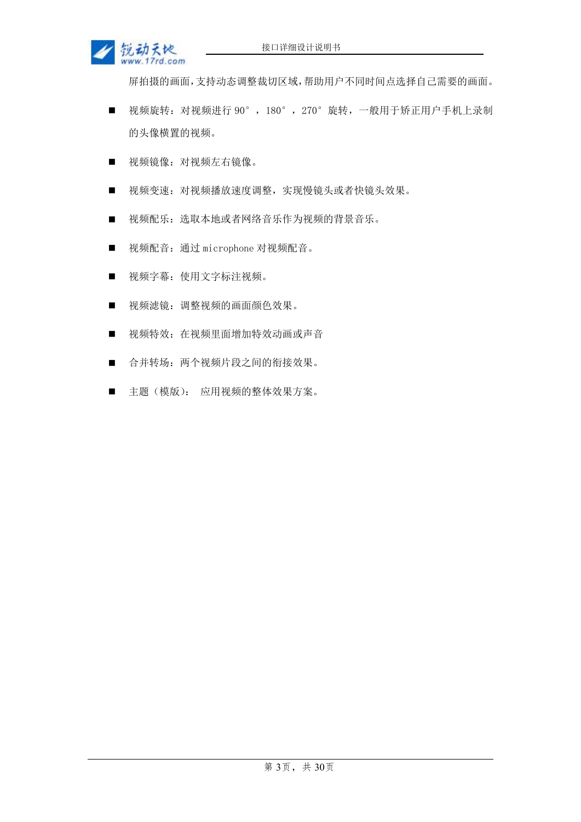

屏拍摄的画面,支持动态调整裁切区域,帮助用户不同时间点选择自己需要的画面。

- 视频旋转: 对视频进行 90°, 180°, 270°旋转, 一般用于矫正用户手机上录制 的头像横置的视频。
- 视频镜像: 对视频左右镜像。
- 视频变速: 对视频播放速度调整, 实现慢镜头或者快镜头效果。
- 视频配乐: 选取本地或者网络音乐作为视频的背景音乐。
- 视频配音: 通过 microphone 对视频配音。
- 视频字幕: 使用文字标注视频。
- 视频滤镜: 调整视频的画面颜色效果。
- 视频特效: 在视频里面增加特效动画或声音
- 合并转场: 两个视频片段之间的衔接效果。
- 主题(模版): 应用视频的整体效果方案。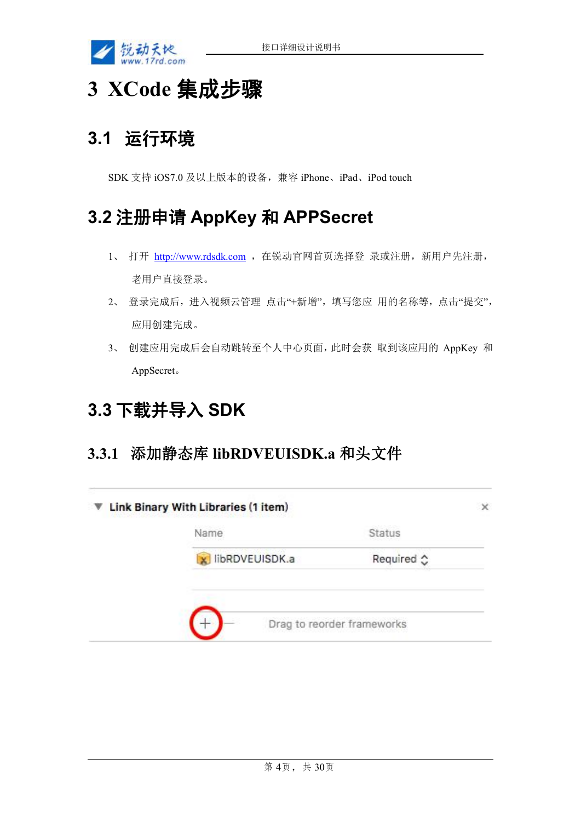

# **3 XCode** 集成步骤

### **3.1** 运行环境

SDK 支持 iOS7.0 及以上版本的设备,兼容 iPhone、iPad、iPod touch

### **3.2** 注册申请 **AppKey** 和 **APPSecret**

- 1、 打开 <http://www.rdsdk.com> , 在锐动官网首页选择登 录或注册, 新用户先注册, 老用户直接登录。
- 2、 登录完成后,进入视频云管理 点击"+新增",填写您应 用的名称等,点击"提交", 应用创建完成。
- 3、 创建应用完成后会自动跳转至个人中心页面,此时会获 取到该应用的 AppKey 和 AppSecret。

# **3.3** 下载并导入 **SDK**

### **3.3.1** 添加静态库 **libRDVEUISDK.a** 和头文件

| Required ☆ |
|------------|
|            |
|            |
|            |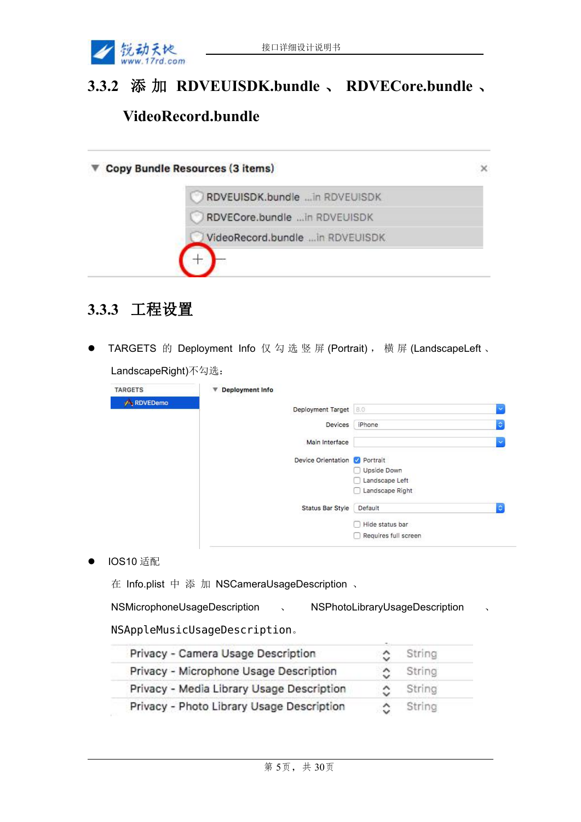

# **3.3.2** 添 加 **RDVEUISDK.bundle** 、 **RDVECore.bundle** 、 **VideoRecord.bundle**

| RDVEUISDK.bundle  in RDVEUISDK   |  |
|----------------------------------|--|
| RDVECore.bundle in RDVEUISDK     |  |
| VideoRecord.bundle  in RDVEUISDK |  |

### **3.3.3** 工程设置

● TARGETS 的 Deployment Info 仅 勾 选 竖 屏 (Portrait) , 横 屏 (LandscapeLeft 、 LandscapeRight)不勾选:

| <b>TARGETS</b> | <b>Deployment Info</b><br>▼          |                               |                     |
|----------------|--------------------------------------|-------------------------------|---------------------|
| A RDVEDemo     | Deployment Target 8.0                |                               | ×                   |
|                | <b>Devices</b>                       | iPhone                        | $\hat{\mathcal{Q}}$ |
|                | Main Interface                       |                               | $\checkmark$        |
|                | Device Orientation <b>V</b> Portrait |                               |                     |
|                |                                      | Upside Down<br>Landscape Left |                     |
|                |                                      | Landscape Right               |                     |
|                | <b>Status Bar Style</b>              | Default                       | $\Diamond$          |
|                |                                      | Hide status bar               |                     |
|                |                                      | Requires full screen          |                     |

● IOS10 适配

在 Info.plist 中 添 加 NSCameraUsageDescription 、

NSMicrophoneUsageDescription 、 NSPhotoLibraryUsageDescription 、

#### NSAppleMusicUsageDescription。

| Privacy - Camera Usage Description        |   | String |  |
|-------------------------------------------|---|--------|--|
| Privacy - Microphone Usage Description    | ≎ | String |  |
| Privacy - Media Library Usage Description | ٥ | String |  |
| Privacy - Photo Library Usage Description |   | String |  |
|                                           |   |        |  |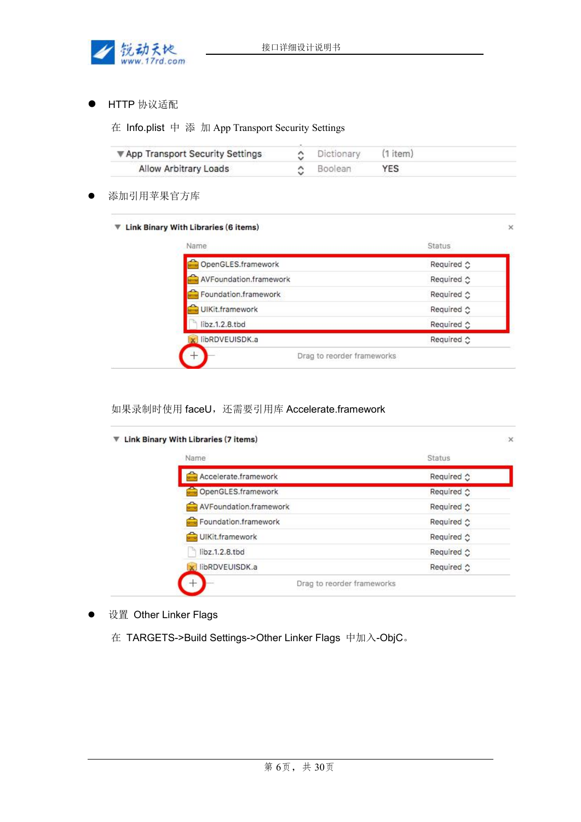

HTTP 协议适配

在 Info.plist 中 添 加 App Transport Security Settings

| ▼ App Transport Security Settings | C Dictionary    | (1 item) |  |
|-----------------------------------|-----------------|----------|--|
| Allow Arbitrary Loads             | $\circ$ Boolean | YES      |  |

添加引用苹果官方库

#### $\Psi$  Link Binary With Libraries (6 items)

| OpenGLES.framework     | Required ☆ |
|------------------------|------------|
| AVFoundation.framework | Required ☆ |
| Foundation.framework   | Required ☆ |
| UIKit.framework        | Required ☆ |
| libz.1.2.8.tbd         | Required ☆ |
| libRDVEUISDK.a         | Required ☆ |

 $\times$ 

#### 如果录制时使用 faceU, 还需要引用库 Accelerate.framework

| Required ☆         |
|--------------------|
| Required ☆         |
| Required $\circ$   |
| Required $\circ$   |
| Required ☆         |
| Required ☆         |
| Required $\hat{C}$ |
|                    |

- 设置 Other Linker Flags
	- 在 TARGETS->Build Settings->Other Linker Flags 中加入-ObjC。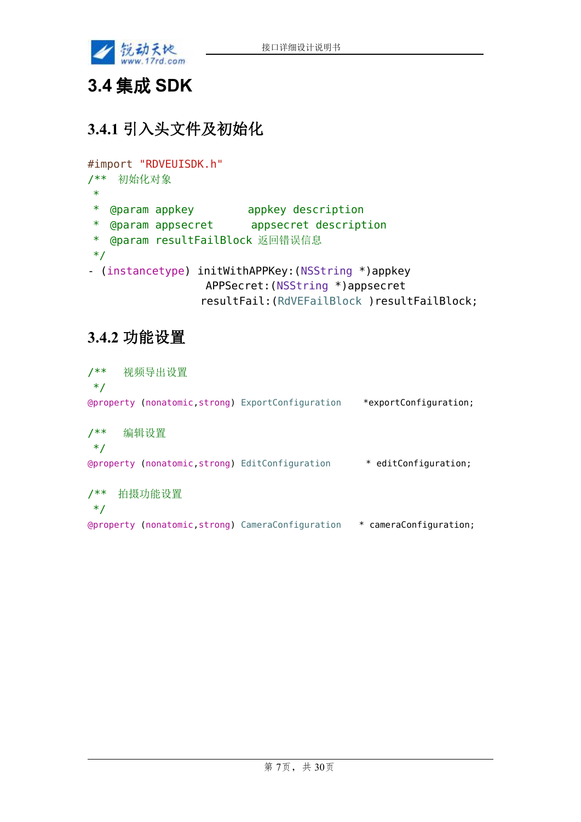

## **3.4** 集成 **SDK**

### **3.4.1** 引入头文件及初始化

```
#import "RDVEUISDK.h"
/** 初始化对象
 * and * and * and * and * and * and * and * and * and * and * and * and * and * and * and * and * and * and * and * and * and * and * and * and * and * and * and * a
 * @param appkey appkey description
 * @param appsecret appsecret description
 * @param resultFailBlock 返回错误信息
 */
- (instancetype) initWithAPPKey:(NSString *)appkey
                        APPSecret:(NSString *)appsecret
                       resultFail:(RdVEFailBlock )resultFailBlock;
```
### **3.4.2** 功能设置

/\*\* 视频导出设置 \*/ @property (nonatomic,strong) ExportConfiguration \*exportConfiguration; /\*\* 编辑设置 \*/ @property (nonatomic,strong) EditConfiguration \* editConfiguration; /\*\* 拍摄功能设置 \*/ @property (nonatomic,strong) CameraConfiguration \* cameraConfiguration;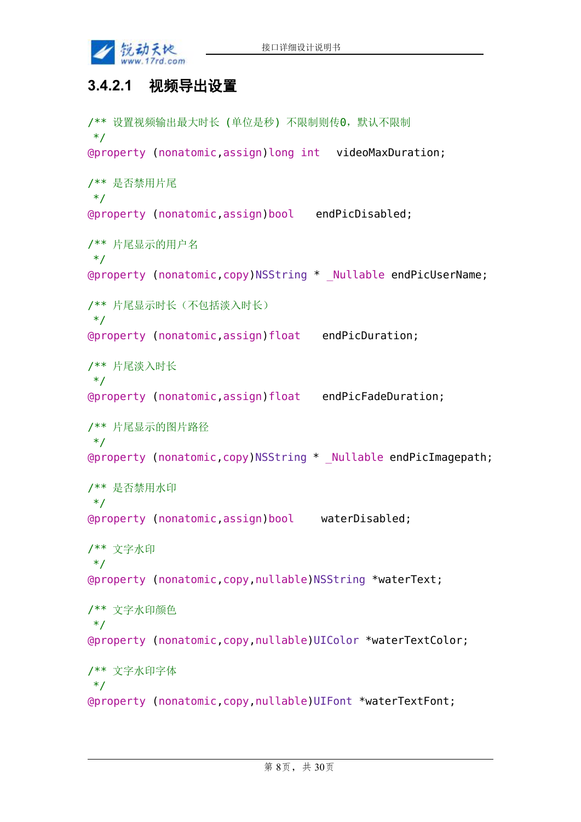

### **3.4.2.1** 视频导出设置

```
/** 设置视频输出最大时长 (单位是秒) 不限制则传0,默认不限制
*/
@property (nonatomic,assign)long int videoMaxDuration;
/** 是否禁用片尾
*/
@property (nonatomic,assign)bool endPicDisabled;
/** 片尾显示的用户名
*/
@property (nonatomic,copy)NSString * _Nullable endPicUserName;
/** 片尾显示时长(不包括淡入时长)
*/
@property (nonatomic,assign)float endPicDuration;
/** 片尾淡入时长
*/
@property (nonatomic,assign)float endPicFadeDuration;
/** 片尾显示的图片路径
*/
@property (nonatomic,copy)NSString * _Nullable endPicImagepath;
/** 是否禁用水印
*/
@property (nonatomic,assign)bool waterDisabled;
/** 文字水印
*/
@property (nonatomic,copy,nullable)NSString *waterText;
/** 文字水印颜色
*/
@property (nonatomic,copy,nullable)UIColor *waterTextColor;
/** 文字水印字体
*/
@property (nonatomic,copy,nullable)UIFont *waterTextFont;
```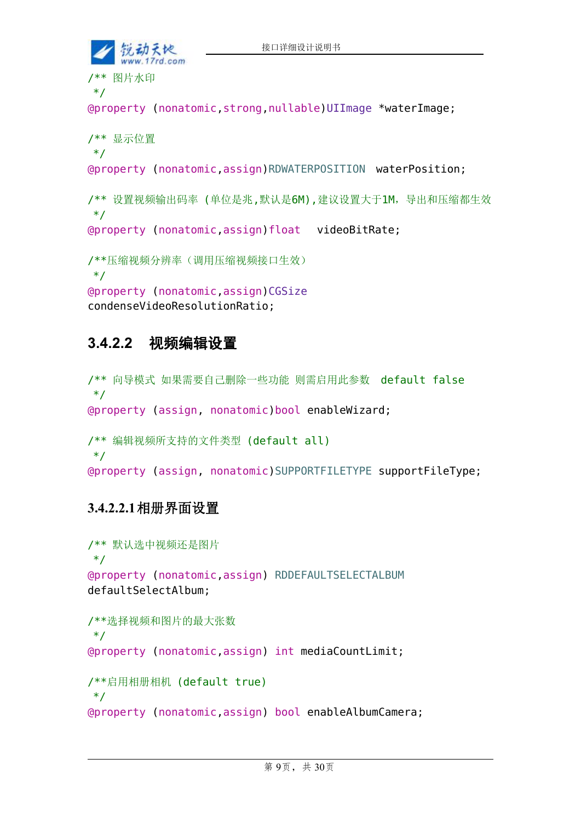```
接口详细设计说明书
    锁动天地
     w.17rd.com/** 图片水印
*/
@property (nonatomic,strong,nullable)UIImage *waterImage;
/** 显示位置
*/
@property (nonatomic,assign)RDWATERPOSITION waterPosition;
/** 设置视频输出码率 (单位是兆,默认是6M),建议设置大于1M,导出和压缩都生效
*/
@property (nonatomic,assign)float videoBitRate;
/**压缩视频分辨率(调用压缩视频接口生效)
*/
@property (nonatomic,assign)CGSize
```
#### condenseVideoResolutionRatio;

### **3.4.2.2** 视频编辑设置

```
/** 向导模式 如果需要自己删除一些功能 则需启用此参数 default false
*/
@property (assign, nonatomic)bool enableWizard;
/** 编辑视频所支持的文件类型 (default all)
*/
@property (assign, nonatomic)SUPPORTFILETYPE supportFileType;
```
#### **3.4.2.2.1**相册界面设置

```
/** 默认选中视频还是图片
*/
@property (nonatomic,assign) RDDEFAULTSELECTALBUM
defaultSelectAlbum;
/**选择视频和图片的最大张数
*/
@property (nonatomic,assign) int mediaCountLimit;
/**启用相册相机 (default true)
*/
@property (nonatomic,assign) bool enableAlbumCamera;
```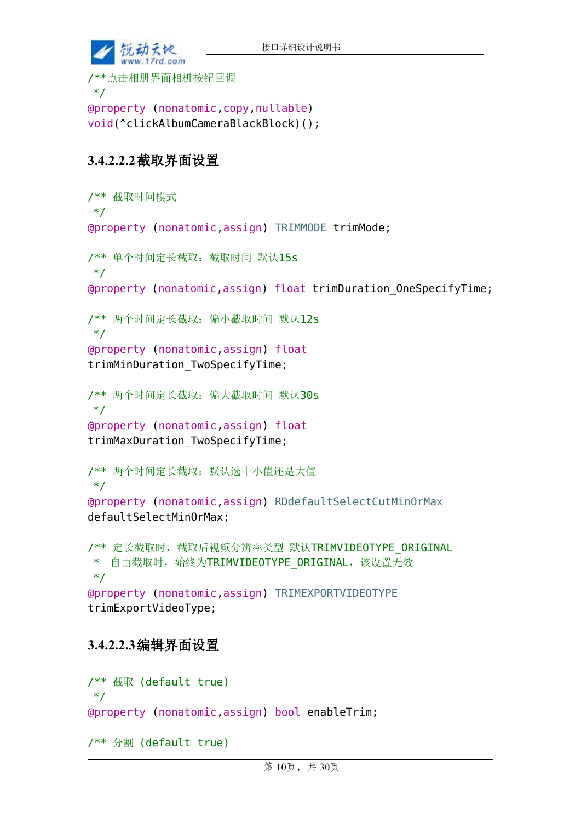

\*/ @property (nonatomic,copy,nullable) void(^clickAlbumCameraBlackBlock)();

#### **3.4.2.2.2**截取界面设置

```
/** 截取时间模式
*/
@property (nonatomic,assign) TRIMMODE trimMode;
/** 单个时间定长截取:截取时间 默认15s
*/
@property (nonatomic,assign) float trimDuration_OneSpecifyTime;
/** 两个时间定长截取:偏小截取时间 默认12s
*/
@property (nonatomic,assign) float
trimMinDuration TwoSpecifyTime;
/** 两个时间定长截取:偏大截取时间 默认30s
*/
@property (nonatomic,assign) float
trimMaxDuration_TwoSpecifyTime;
/** 两个时间定长截取:默认选中小值还是大值
*/
@property (nonatomic,assign) RDdefaultSelectCutMinOrMax
defaultSelectMinOrMax;
/** 定长截取时, 截取后视频分辨率类型 默认TRIMVIDEOTYPE ORIGINAL
* 自由截取时, 始终为TRIMVIDEOTYPE ORIGINAL, 该设置无效
*/
@property (nonatomic,assign) TRIMEXPORTVIDEOTYPE
trimExportVideoType;
```
#### **3.4.2.2.3**编辑界面设置

```
/** 截取 (default true)
*/
@property (nonatomic,assign) bool enableTrim;
/** 分割 (default true)
```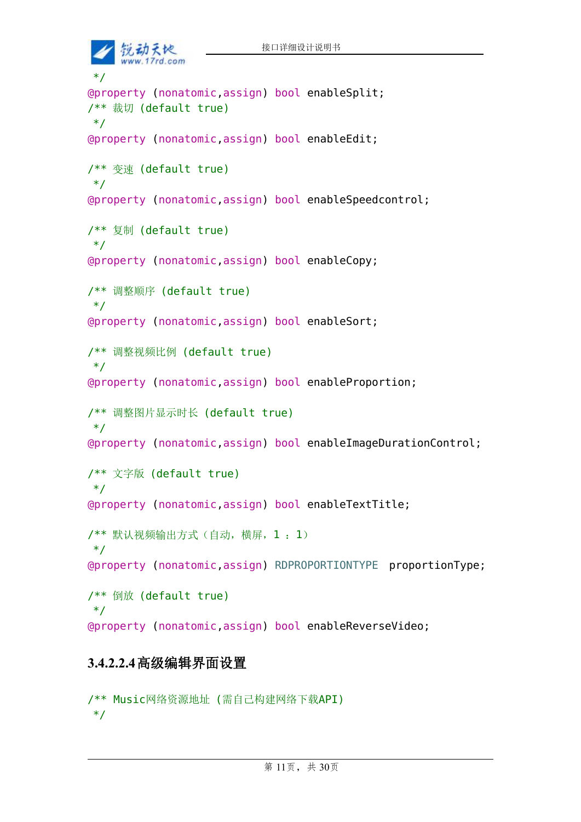锐动天地 www.17rd.com \*/ @property (nonatomic,assign) bool enableSplit; /\*\* 裁切 (default true) \*/ @property (nonatomic,assign) bool enableEdit; /\*\* 变速 (default true) \*/ @property (nonatomic,assign) bool enableSpeedcontrol; /\*\* 复制 (default true) \*/ @property (nonatomic,assign) bool enableCopy; /\*\* 调整顺序 (default true) \*/ @property (nonatomic,assign) bool enableSort; /\*\* 调整视频比例 (default true) \*/ @property (nonatomic,assign) bool enableProportion; /\*\* 调整图片显示时长 (default true) \*/ @property (nonatomic,assign) bool enableImageDurationControl; /\*\* 文字版 (default true) \*/ @property (nonatomic,assign) bool enableTextTitle; /\*\* 默认视频输出方式(自动,横屏,1 :1) \*/ @property (nonatomic,assign) RDPROPORTIONTYPE proportionType; /\*\* 倒放 (default true)  $*$ / @property (nonatomic,assign) bool enableReverseVideo;

#### **3.4.2.2.4**高级编辑界面设置

/\*\* Music网络资源地址 (需自己构建网络下载API) \*/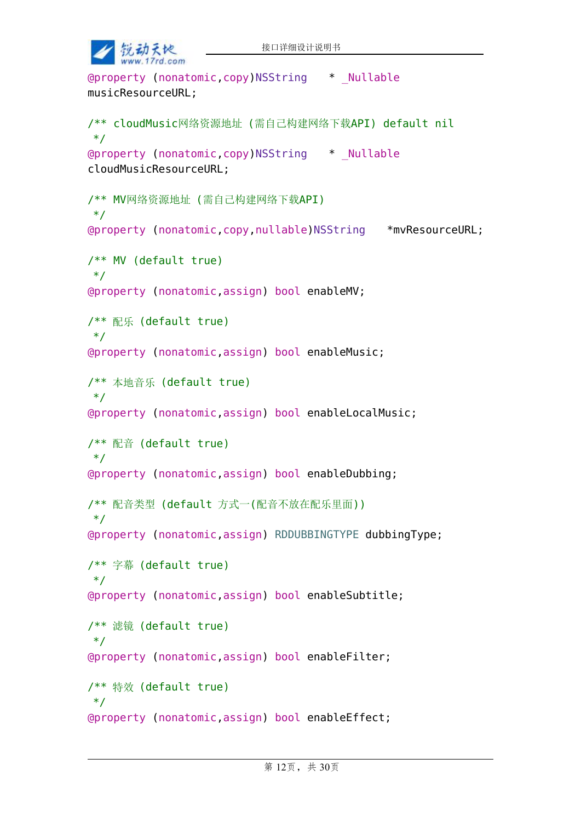```
接口详细设计说明书
    锐动天地
    www.17rd.com
@property (nonatomic,copy)NSString * _Nullable
musicResourceURL;
/** cloudMusic网络资源地址 (需自己构建网络下载API) default nil
*/
@property (nonatomic,copy)NSString * _Nullable
cloudMusicResourceURL;
/** MV网络资源地址 (需自己构建网络下载API)
*/
@property (nonatomic,copy,nullable)NSString *mvResourceURL;
/** MV (default true)
*/
@property (nonatomic,assign) bool enableMV;
/** 配乐 (default true)
*/
@property (nonatomic,assign) bool enableMusic;
/** 本地音乐 (default true)
*/
@property (nonatomic,assign) bool enableLocalMusic;
/** 配音 (default true)
*/
@property (nonatomic,assign) bool enableDubbing;
/** 配音类型 (default 方式一(配音不放在配乐里面))
*/
@property (nonatomic,assign) RDDUBBINGTYPE dubbingType;
/** 字幕 (default true)
*/
@property (nonatomic,assign) bool enableSubtitle;
/** 滤镜 (default true)
*/
@property (nonatomic,assign) bool enableFilter;
/** 特效 (default true)
*/
@property (nonatomic,assign) bool enableEffect;
```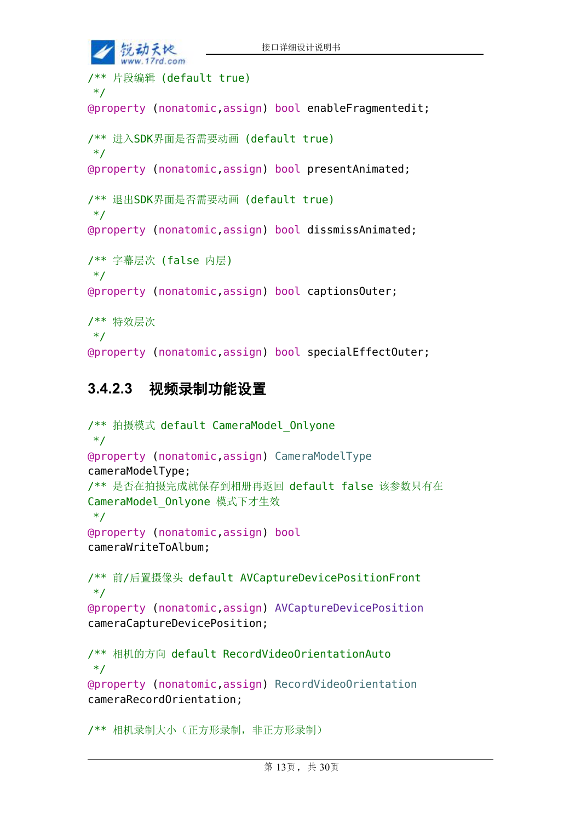```
接口详细设计说明书
    的动天地
     w. 17rd.com/** 片段编辑 (default true)
*/
@property (nonatomic,assign) bool enableFragmentedit;
/** 进入SDK界面是否需要动画 (default true)
*/
@property (nonatomic,assign) bool presentAnimated;
/** 退出SDK界面是否需要动画 (default true)
*/
@property (nonatomic,assign) bool dissmissAnimated;
/** 字幕层次 (false 内层)
*/
@property (nonatomic,assign) bool captionsOuter;
/** 特效层次
*/
@property (nonatomic,assign) bool specialEffectOuter;
```
### **3.4.2.3** 视频录制功能设置

```
/** 拍摄模式 default CameraModel_Onlyone
*/
@property (nonatomic,assign) CameraModelType
cameraModelType;
/** 是否在拍摄完成就保存到相册再返回 default false 该参数只有在
CameraModel_Onlyone 模式下才生效
*/
@property (nonatomic,assign) bool
cameraWriteToAlbum;
/** 前/后置摄像头 default AVCaptureDevicePositionFront
*/
@property (nonatomic,assign) AVCaptureDevicePosition
cameraCaptureDevicePosition;
/** 相机的方向 default RecordVideoOrientationAuto
*/
@property (nonatomic,assign) RecordVideoOrientation
cameraRecordOrientation;
```
/\*\* 相机录制大小(正方形录制,非正方形录制)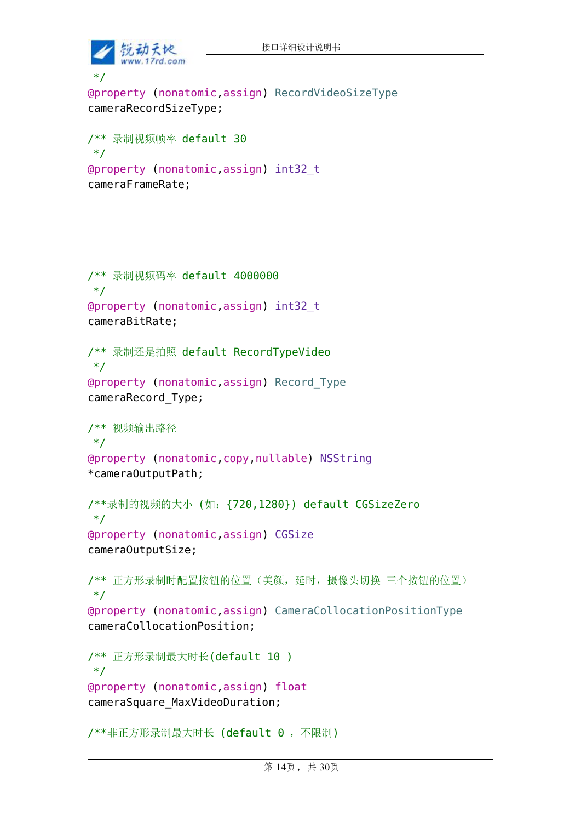

```
*/
@property (nonatomic,assign) RecordVideoSizeType
cameraRecordSizeType;
```

```
/** 录制视频帧率 default 30
*/
@property (nonatomic,assign) int32_t
cameraFrameRate;
```

```
/** 录制视频码率 default 4000000
*/
@property (nonatomic,assign) int32_t
cameraBitRate;
/** 录制还是拍照 default RecordTypeVideo
*/
@property (nonatomic,assign) Record_Type
cameraRecord_Type;
/** 视频输出路径
*/
@property (nonatomic,copy,nullable) NSString
*cameraOutputPath;
/**录制的视频的大小 (如:{720,1280}) default CGSizeZero
*/
@property (nonatomic,assign) CGSize
cameraOutputSize;
/** 正方形录制时配置按钮的位置(美颜,延时,摄像头切换 三个按钮的位置)
*/
@property (nonatomic,assign) CameraCollocationPositionType
cameraCollocationPosition;
/** 正方形录制最大时长(default 10 )
*/
@property (nonatomic,assign) float
cameraSquare_MaxVideoDuration;
```

```
/**非正方形录制最大时长 (default 0 ,不限制)
```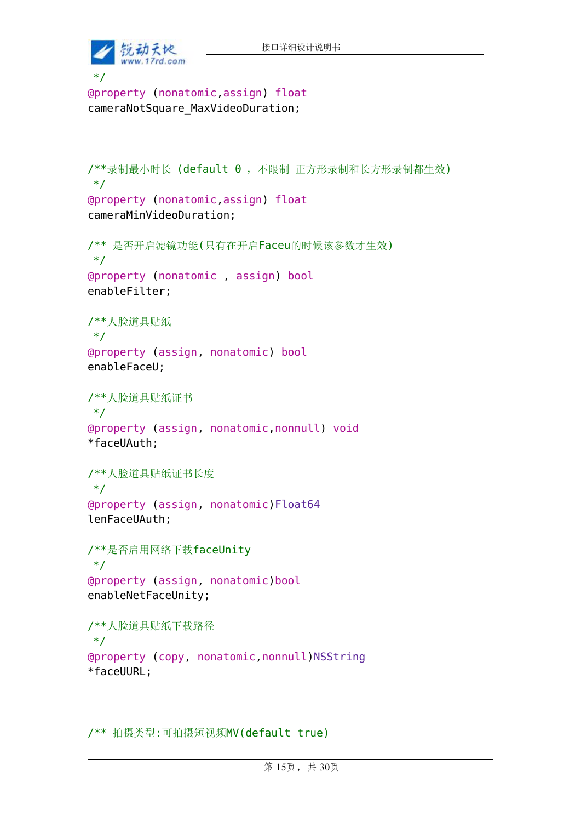

```
*/
@property (nonatomic,assign) float
cameraNotSquare_MaxVideoDuration;
```

```
/**录制最小时长 (default 0 ,不限制 正方形录制和长方形录制都生效)
*/
@property (nonatomic,assign) float
cameraMinVideoDuration;
/** 是否开启滤镜功能(只有在开启Faceu的时候该参数才生效)
*/
@property (nonatomic , assign) bool
enableFilter;
/**人脸道具贴纸
*/
@property (assign, nonatomic) bool
enableFaceU;
/**人脸道具贴纸证书
*/
@property (assign, nonatomic,nonnull) void
*faceUAuth;
/**人脸道具贴纸证书长度
*/
@property (assign, nonatomic)Float64
lenFaceUAuth;
/**是否启用网络下载faceUnity
*/
@property (assign, nonatomic)bool
enableNetFaceUnity;
/**人脸道具贴纸下载路径
*/
@property (copy, nonatomic,nonnull)NSString
*faceUURL;
```
/\*\* 拍摄类型:可拍摄短视频MV(default true)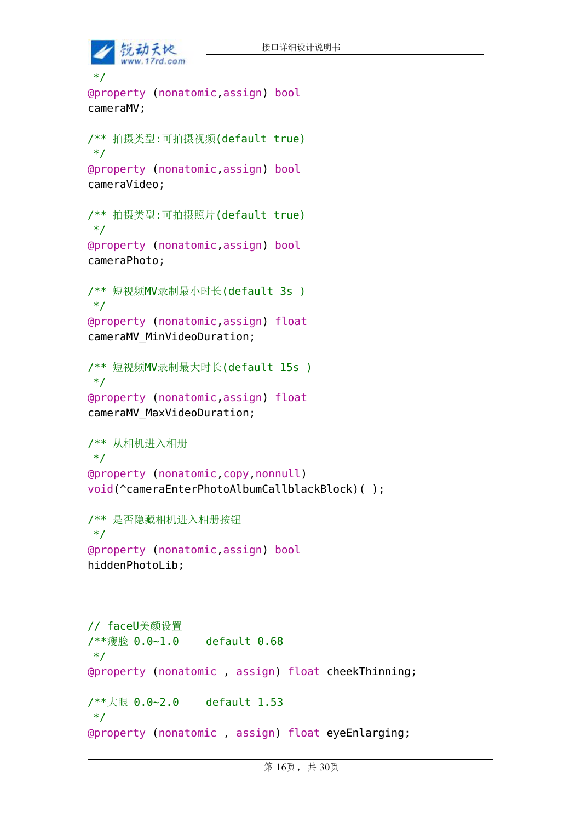```
的动天地
      w. 17rd.com*/
@property (nonatomic,assign) bool
cameraMV;
/** 拍摄类型:可拍摄视频(default true)
*/
@property (nonatomic,assign) bool
cameraVideo;
/** 拍摄类型:可拍摄照片(default true)
*/
@property (nonatomic,assign) bool
cameraPhoto;
/** 短视频MV录制最小时长(default 3s )
*/
@property (nonatomic,assign) float
cameraMV_MinVideoDuration;
/** 短视频MV录制最大时长(default 15s )
*/
@property (nonatomic,assign) float
cameraMV_MaxVideoDuration;
/** 从相机进入相册
*/
@property (nonatomic,copy,nonnull)
void(^cameraEnterPhotoAlbumCallblackBlock)( );
/** 是否隐藏相机进入相册按钮
*/
@property (nonatomic,assign) bool
hiddenPhotoLib;
// faceU美颜设置
/**瘦脸 0.0~1.0 default 0.68
*/
@property (nonatomic , assign) float cheekThinning;
/**大眼 0.0~2.0 default 1.53
*/
@property (nonatomic , assign) float eyeEnlarging;
```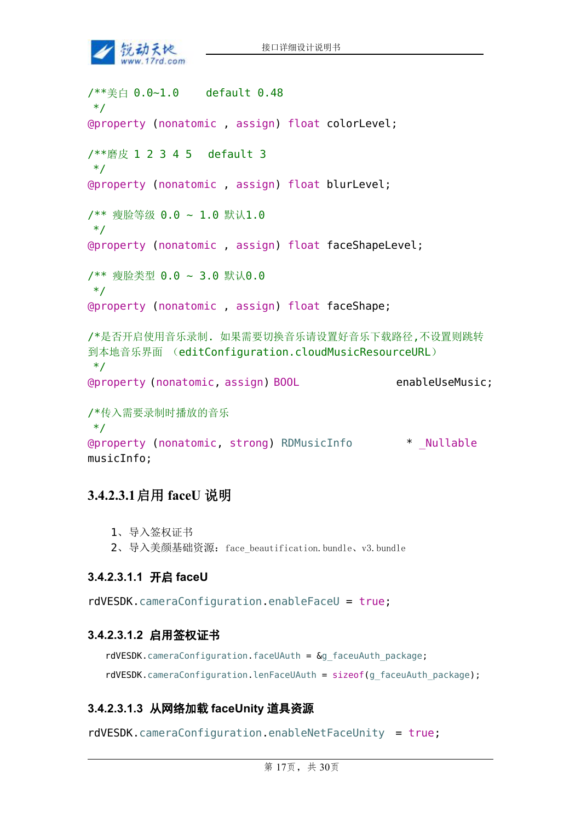

/\*\*美白 0.0~1.0 default 0.48 \*/ @property (nonatomic , assign) float colorLevel; /\*\*磨皮 1 2 3 4 5 default 3 \*/ @property (nonatomic , assign) float blurLevel; /\*\* 瘦脸等级 0.0 ~ 1.0 默认1.0 \*/ @property (nonatomic , assign) float faceShapeLevel; /\*\* 瘦脸类型 0.0 ~ 3.0 默认0.0 \*/ @property (nonatomic , assign) float faceShape; /\*是否开启使用音乐录制. 如果需要切换音乐请设置好音乐下载路径,不设置则跳转 到本地音乐界面 (editConfiguration.cloudMusicResourceURL) \*/ @property (nonatomic, assign) BOOL enableUseMusic; /\*传入需要录制时播放的音乐 \*/ @property (nonatomic, strong) RDMusicInfo \* \_Nullable musicInfo;

#### **3.4.2.3.1**启用 **faceU** 说明

```
1、导入签权证书
2、导入美颜基础资源:face_beautification.bundle、v3.bundle
```
#### **3.4.2.3.1.1** 开启 **faceU**

rdVESDK.cameraConfiguration.enableFaceU = true;

#### **3.4.2.3.1.2** 启用签权证书

rdVESDK.cameraConfiguration.faceUAuth =  $\&$ g faceuAuth package; rdVESDK.cameraConfiguration.lenFaceUAuth = sizeof(g\_faceuAuth\_package);

#### **3.4.2.3.1.3** 从网络加载 **faceUnity** 道具资源

rdVESDK.cameraConfiguration.enableNetFaceUnity = true;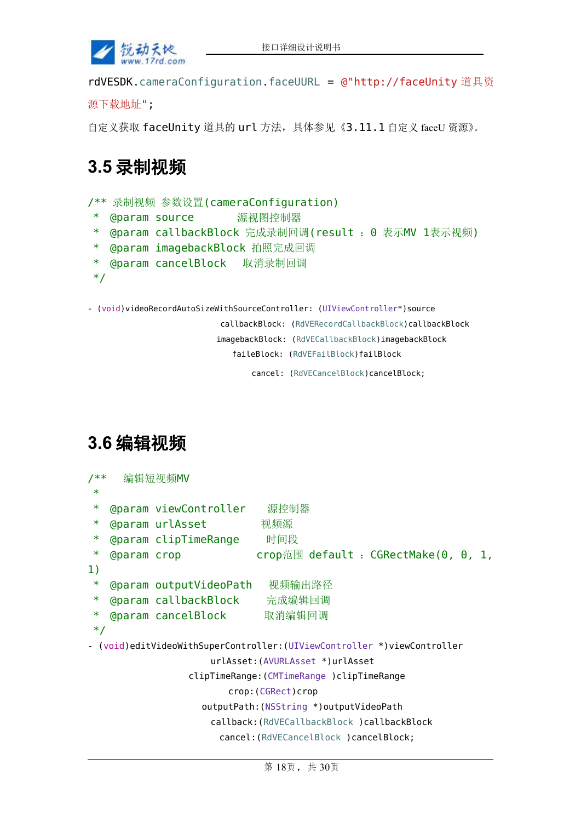

rdVESDK.cameraConfiguration.faceUURL = @"http://faceUnity 道具资

```
源下载地址";
```
自定义获取 faceUnity 道具的 url 方法,具体参见《3.11.1 自定义 faceU 资源》。

## **3.5** 录制视频

```
/** 录制视频 参数设置(cameraConfiguration)
```
- \* @param source 源视图控制器
- \* @param callbackBlock 完成录制回调(result :0 表示MV 1表示视频)
- \* @param imagebackBlock 拍照完成回调
- \* @param cancelBlock 取消录制回调
- \*/

```
- (void)videoRecordAutoSizeWithSourceController: (UIViewController*)source
```
callbackBlock: (RdVERecordCallbackBlock)callbackBlock

imagebackBlock: (RdVECallbackBlock)imagebackBlock

faileBlock: (RdVEFailBlock)failBlock

cancel: (RdVECancelBlock)cancelBlock;

### **3.6** 编辑视频

| /**<br>$\ast$                                                            |                     | 编辑短视频MV                       |                                                                 |  |  |
|--------------------------------------------------------------------------|---------------------|-------------------------------|-----------------------------------------------------------------|--|--|
| $\ast$                                                                   |                     | <b>@param viewController</b>  | 源控制器                                                            |  |  |
| $\ast$                                                                   |                     | <b>@param urlAsset</b>        | 视频源                                                             |  |  |
| $\ast$                                                                   |                     | <b>@param clipTimeRange</b>   | 时间段                                                             |  |  |
| $\ast$                                                                   | <b>@param crop</b>  |                               | $\mathsf{crop\ddot{\pi}}\boxplus$ default : CGRectMake(0, 0, 1, |  |  |
| 1)                                                                       |                     |                               |                                                                 |  |  |
| $\ast$                                                                   |                     | <b>@param outputVideoPath</b> | 视频输出路径                                                          |  |  |
| $\ast$                                                                   |                     | @param callbackBlock          | 完成编辑回调                                                          |  |  |
| $\ast$                                                                   |                     | @param cancelBlock 取消编辑回调     |                                                                 |  |  |
| $*$                                                                      |                     |                               |                                                                 |  |  |
| - (void)editVideoWithSuperController: (UIViewController *)viewController |                     |                               |                                                                 |  |  |
| urlAsset: (AVURLAsset *)urlAsset                                         |                     |                               |                                                                 |  |  |
| clipTimeRange: (CMTimeRange ) clipTimeRange                              |                     |                               |                                                                 |  |  |
|                                                                          | crop: (CGRect) crop |                               |                                                                 |  |  |
|                                                                          |                     |                               | outputPath: (NSString *) outputVideoPath                        |  |  |
|                                                                          |                     |                               | callback: (RdVECallbackBlock ) callbackBlock                    |  |  |
|                                                                          |                     |                               | cancel: (RdVECancelBlock ) cancelBlock;                         |  |  |
|                                                                          |                     |                               |                                                                 |  |  |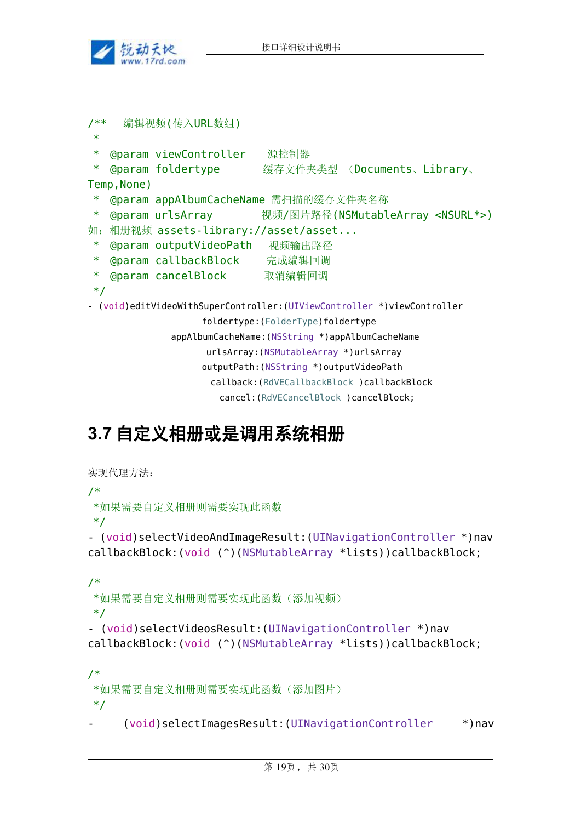

```
/** 编辑视频(传入URL数组)
 * and * and * and * and * and * and * and * and * and * and * and * and * and * and * and * and * and * and * and * and * and * and * and * and * and * and * and * a
 * @param viewController 源控制器
 * @param foldertype 缓存文件夹类型 (Documents、Library、
Temp, None)
 * @param appAlbumCacheName 需扫描的缓存文件夹名称
* @param urlsArray 视频/图片路径(NSMutableArray <NSURL*>)
如:相册视频 assets-library://asset/asset...
 * @param outputVideoPath 视频输出路径
 * @param callbackBlock 完成编辑回调
 * @param cancelBlock 取消编辑回调
 */
- (void)editVideoWithSuperController:(UIViewController *)viewController
                    foldertype:(FolderType)foldertype
               appAlbumCacheName:(NSString *)appAlbumCacheName
                     urlsArray:(NSMutableArray *)urlsArray
                    outputPath:(NSString *)outputVideoPath
                      callback:(RdVECallbackBlock )callbackBlock
                        cancel:(RdVECancelBlock )cancelBlock;
```
# **3.7** 自定义相册或是调用系统相册

```
实现代理方法:
/*
*如果需要自定义相册则需要实现此函数
*/
- (void)selectVideoAndImageResult:(UINavigationController *)nav
callbackBlock:(void (^)(NSMutableArray *lists))callbackBlock;
/*
*如果需要自定义相册则需要实现此函数(添加视频)
*/
- (void)selectVideosResult:(UINavigationController *)nav
callbackBlock:(void (^)(NSMutableArray *lists))callbackBlock;
/*
*如果需要自定义相册则需要实现此函数(添加图片)
*/
```

```
- (void)selectImagesResult:(UINavigationController *)nav
```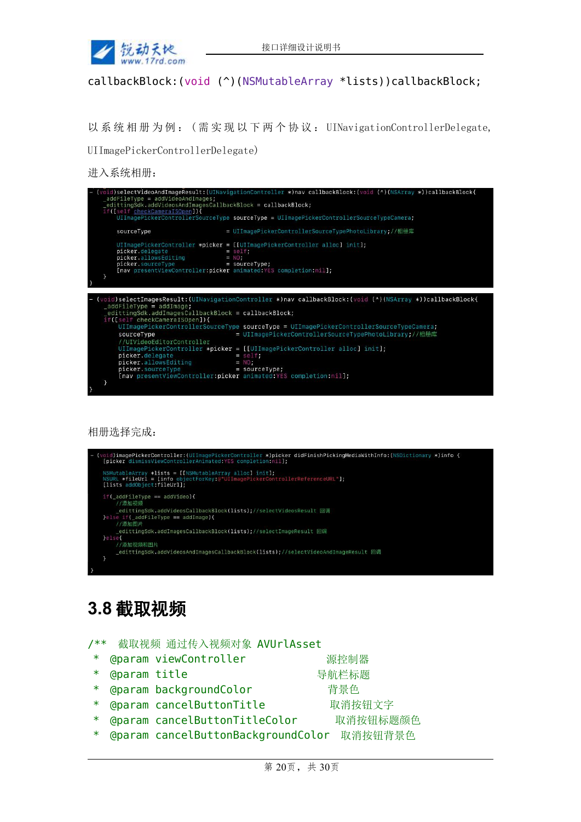

#### callbackBlock:(void (^)(NSMutableArray \*lists))callbackBlock;

以 系 统 相 册 为 例 : ( 需 实 现 以 下 两 个 协 议 : UINavigationControllerDelegate,

UIImagePickerControllerDelegate)

进入系统相册:

| $addFilterype = addVideoAndImage;$<br>_edittingSdk.addVideosAndImagesCallbackBlock = callbackBlock;<br>if([self checkCameraISOpen]){ | (void)selectVideoAndImageResult:(UINavigationController *)nav callbackBlock:(void (^)(NSArray *))callbackBlock{ |
|--------------------------------------------------------------------------------------------------------------------------------------|-----------------------------------------------------------------------------------------------------------------|
|                                                                                                                                      | UIImagePickerControllerSourceType sourceType = UIImagePickerControllerSourceTypeCamera;                         |
| sourceType                                                                                                                           | = UIImagePickerControllerSourceTypePhotoLibrary;//相册库                                                           |
| picker.delegate<br>picker.allowsEditing                                                                                              | UIImagePickerController *picker = [[UIImagePickerController alloc] init];<br>$=$ self;<br>$= NO:$               |
| picker.sourceType<br>[nav presentViewController:picker animated:YES completion:nil];                                                 | $=$ sourceType;                                                                                                 |
|                                                                                                                                      |                                                                                                                 |
| $addFileType = addImage;$                                                                                                            | (void)selectImagesResult: (UINavigationController *)nav callbackBlock: (void (^)(NSArray *))callbackBlock{      |
| edittingSdk.addImagesCallbackBlock = callbackBlock;<br>if([self checkCameraISOpen]){                                                 |                                                                                                                 |
|                                                                                                                                      | UIImagePickerControllerSourceType sourceType = UIImagePickerControllerSourceTypeCamera;                         |
| sourceType                                                                                                                           | = UIImagePickerControllerSourceTypePhotoLibrary;//相册库                                                           |
| //UIVideoEditorController                                                                                                            |                                                                                                                 |
|                                                                                                                                      | UIImagePickerController *picker = $[[UII]$ magePickerController alloc] init];                                   |
| picker.delegate                                                                                                                      | $=$ self;                                                                                                       |
| picker.allowsEditing                                                                                                                 | $= NO$ :                                                                                                        |
| picker.sourceType                                                                                                                    | = sourceType;                                                                                                   |
|                                                                                                                                      | [nav presentViewController:picker animated: YES completion:nil];                                                |
| - 7                                                                                                                                  |                                                                                                                 |

相册选择完成:



### **3.8** 截取视频

|                | /** 截取视频 通过传入视频对象 AVUrlAsset         |          |
|----------------|--------------------------------------|----------|
|                | * @param viewController              | 源控制器     |
| * @param title |                                      | 导航栏标题    |
|                | * @param backgroundColor             | 背景色      |
|                | * @param cancelButtonTitle           | 取消按钮文字   |
|                | * @param cancelButtonTitleColor      | 取消按钮标题颜色 |
|                | * @param cancelButtonBackgroundColor | 取消按钮背景色  |
|                |                                      |          |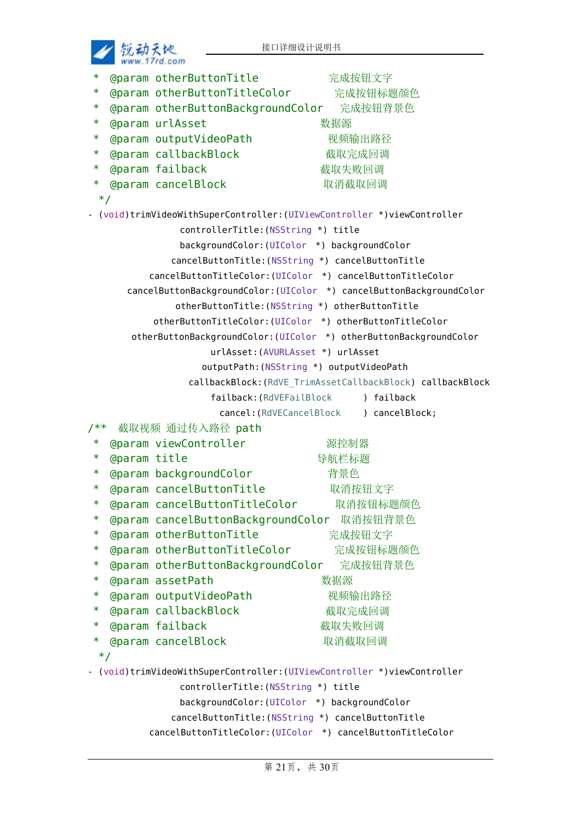

|        | $WWW$ , $1110.60m$  |                                                                          |                                                            |
|--------|---------------------|--------------------------------------------------------------------------|------------------------------------------------------------|
| *      |                     | @param otherButtonTitle                                                  | 完成按钮文字                                                     |
| $\ast$ |                     | @param otherButtonTitleColor 完成按钮标题颜色                                    |                                                            |
| $\ast$ |                     | @param otherButtonBackgroundColor 完成按钮背景色                                |                                                            |
| $\ast$ |                     | @param urlAsset                                                          | 数据源                                                        |
| ∗      |                     | @param outputVideoPath                                                   | 视频输出路径                                                     |
| ∗.     |                     | <b>@param callbackBlock</b>                                              | 截取完成回调                                                     |
| $\ast$ |                     | <b>@param failback</b>                                                   | 截取失败回调                                                     |
| ∗.     |                     | <b>@param cancelBlock</b>                                                | 取消截取回调                                                     |
| $*$    |                     |                                                                          |                                                            |
|        |                     | - (void)trimVideoWithSuperController: (UIViewController *)viewController |                                                            |
|        |                     | controllerTitle: (NSString *) title                                      |                                                            |
|        |                     | backgroundColor: (UIColor *) backgroundColor                             |                                                            |
|        |                     | cancelButtonTitle: (NSString *) cancelButtonTitle                        |                                                            |
|        |                     | cancelButtonTitleColor: (UIColor *) cancelButtonTitleColor               |                                                            |
|        |                     | cancelButtonBackgroundColor: (UIColor *) cancelButtonBackgroundColor     |                                                            |
|        |                     | otherButtonTitle: (NSString *) otherButtonTitle                          |                                                            |
|        |                     | otherButtonTitleColor: (UIColor *) otherButtonTitleColor                 |                                                            |
|        |                     | otherButtonBackgroundColor: (UIColor *) otherButtonBackgroundColor       |                                                            |
|        |                     | urlAsset: (AVURLAsset *) urlAsset                                        |                                                            |
|        |                     | outputPath: (NSString *) outputVideoPath                                 |                                                            |
|        |                     |                                                                          | callbackBlock: (RdVE_TrimAssetCallbackBlock) callbackBlock |
|        |                     | failback: (RdVEFailBlock                                                 | ) failback                                                 |
|        |                     |                                                                          | cancel: (RdVECancelBlock ) cancelBlock;                    |
| /**    |                     | 截取视频 通过传入路径 path                                                         |                                                            |
| ∗      |                     | @param viewController                                                    | 源控制器                                                       |
| ∗      | <b>@param title</b> |                                                                          | 导航栏标题                                                      |
| ∗      |                     | @param backgroundColor                                                   | 背景色                                                        |
| ∗      |                     | @param cancelButtonTitle                                                 | 取消按钮文字                                                     |
| $\ast$ |                     | @param cancelButtonTitleColor                                            | 取消按钮标题颜色                                                   |
| ∗      |                     | @param cancelButtonBackgroundColor 取消按钮背景色                               |                                                            |
| $\ast$ |                     | <b>@param otherButtonTitle</b>                                           | 完成按钮文字                                                     |
| $\ast$ |                     | @param otherButtonTitleColor                                             | 完成按钮标题颜色                                                   |
| ∗      |                     | @param otherButtonBackgroundColor 完成按钮背景色                                |                                                            |
| $\ast$ |                     | <b>@param assetPath</b>                                                  | 数据源                                                        |
| ∗      |                     | @param outputVideoPath                                                   | 视频输出路径                                                     |
| ∗      |                     | <b>@param callbackBlock</b>                                              | 截取完成回调                                                     |
| ∗      |                     | <b>@param failback</b>                                                   | 截取失败回调                                                     |
| $\ast$ |                     | <b>@param cancelBlock</b>                                                | 取消截取回调                                                     |
| $*$    |                     |                                                                          |                                                            |
|        |                     | - (void)trimVideoWithSuperController: (UIViewController *)viewController |                                                            |
|        |                     | controllerTitle: (NSString *) title                                      |                                                            |
|        |                     | backgroundColor: (UIColor *) backgroundColor                             |                                                            |
|        |                     | cancelButtonTitle: (NSString *) cancelButtonTitle                        |                                                            |
|        |                     | cancelButtonTitleColor: (UIColor *) cancelButtonTitleColor               |                                                            |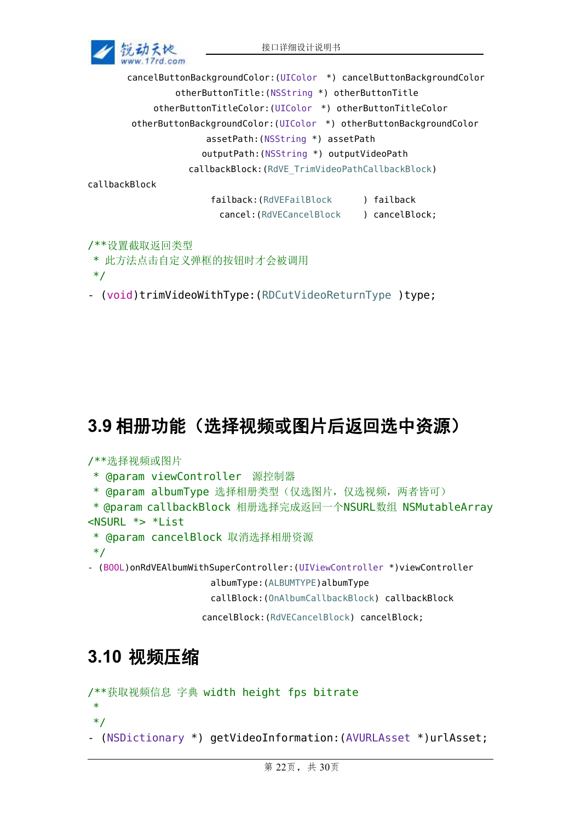

cancelButtonBackgroundColor:(UIColor \*) cancelButtonBackgroundColor otherButtonTitle:(NSString \*) otherButtonTitle otherButtonTitleColor:(UIColor \*) otherButtonTitleColor otherButtonBackgroundColor:(UIColor \*) otherButtonBackgroundColor assetPath:(NSString \*) assetPath outputPath:(NSString \*) outputVideoPath callbackBlock:(RdVE\_TrimVideoPathCallbackBlock)

callbackBlock

failback:(RdVEFailBlock ) failback cancel:(RdVECancelBlock ) cancelBlock;

/\*\*设置截取返回类型

\* 此方法点击自定义弹框的按钮时才会被调用

\*/

- (void)trimVideoWithType:(RDCutVideoReturnType )type;

# **3.9** 相册功能(选择视频或图片后返回选中资源)

#### /\*\*选择视频或图片

- \* @param viewController 源控制器
- \* @param albumType 选择相册类型(仅选图片,仅选视频,两者皆可)
- \* @param callbackBlock 相册选择完成返回一个NSURL数组 NSMutableArray <NSURL \*> \*List
	- \* @param cancelBlock 取消选择相册资源
- \*/

- (BOOL)onRdVEAlbumWithSuperController:(UIViewController \*)viewController

albumType:(ALBUMTYPE)albumType

callBlock:(OnAlbumCallbackBlock) callbackBlock

cancelBlock:(RdVECancelBlock) cancelBlock;

# **3.10** 视频压缩

```
/**获取视频信息 字典 width height fps bitrate
```
 $*$  and  $*$  and  $*$  and  $*$  and  $*$  and  $*$  and  $*$  and  $*$  and  $*$  and  $*$  and  $*$  and  $*$  and  $*$  and  $*$  and  $*$  and  $*$  and  $*$  and  $*$  and  $*$  and  $*$  and  $*$  and  $*$  and  $*$  and  $*$  and  $*$  and  $*$  and  $*$  and  $*$  a \*/

- (NSDictionary \*) getVideoInformation:(AVURLAsset \*)urlAsset;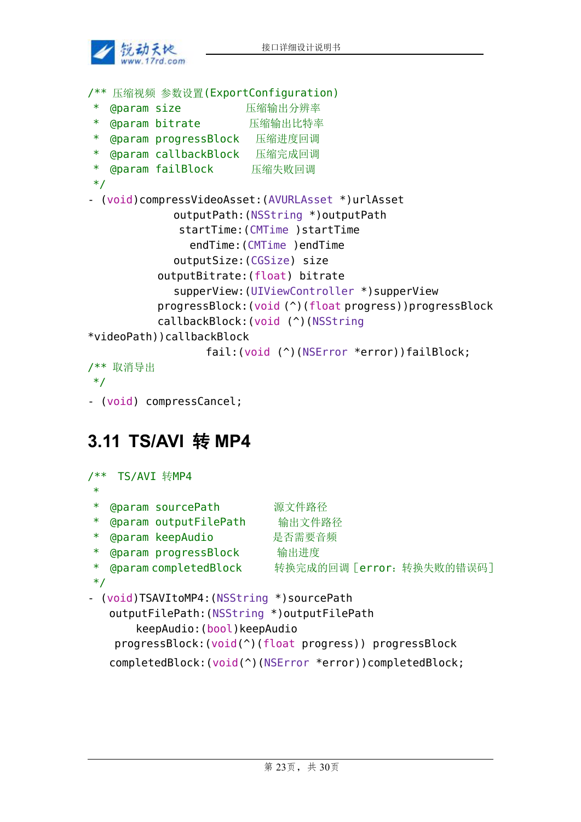

```
/** 压缩视频 参数设置(ExportConfiguration)
* @param size 压缩输出分辨率
* @param bitrate 压缩输出比特率
* @param progressBlock 压缩进度回调
  @param callbackBlock 压缩完成回调
* @param failBlock 压缩失败回调
*/
- (void)compressVideoAsset:(AVURLAsset *)urlAsset
           outputPath:(NSString *)outputPath
            startTime:(CMTime )startTime
             endTime:(CMTime )endTime
           outputSize:(CGSize) size
         outputBitrate:(float) bitrate
           supperView:(UIViewController *)supperView
         progressBlock:(void (^)(float progress))progressBlock
         callbackBlock:(void (^)(NSString
*videoPath))callbackBlock
                fail:(void (^)(NSError *error))failBlock;
/** 取消导出
*/
- (void) compressCancel;
```
### **3.11 TS/AVI** 转 **MP4**

```
/** TS/AVI 转MP4
* and * and * and * and * and * and * and * and * and * and * and * and * and * and * and * and * and * and * and * and * and * and * and * and * and * and * and * a
* @param sourcePath 源文件路径
* @param outputFilePath 输出文件路径
* @param keepAudio 是否需要音频
* @param progressBlock 输出进度
* @param completedBlock 转换完成的回调[error:转换失败的错误码]
*/
- (void)TSAVItoMP4:(NSString *)sourcePath
   outputFilePath:(NSString *)outputFilePath
        keepAudio:(bool)keepAudio
    progressBlock:(void(^)(float progress)) progressBlock
   completedBlock:(void(^)(NSError *error))completedBlock;
```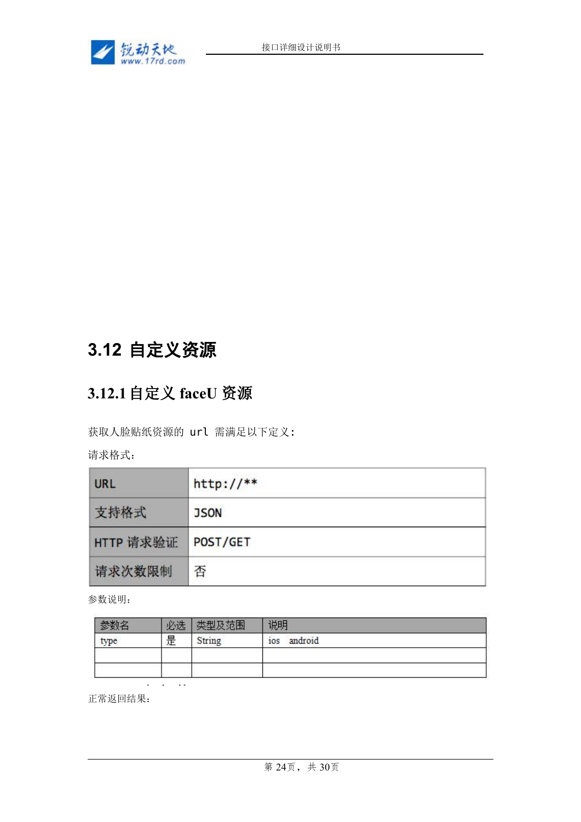

# **3.12** 自定义资源

### **3.12.1**自定义 **faceU** 资源

获取人脸贴纸资源的 url 需满足以下定义:

请求格式:

| URL       | $http://**$ |
|-----------|-------------|
| 支持格式      | <b>JSON</b> |
| HTTP 请求验证 | POST/GET    |
| 请求次数限制    | 否           |

参数说明:

|      | 心理 | 植时     | 说明             |
|------|----|--------|----------------|
| type | 是  | String | android<br>10S |
|      |    |        |                |
|      |    |        |                |

正常返回结果:

 $\sim$  $\sim$  $\sim$  .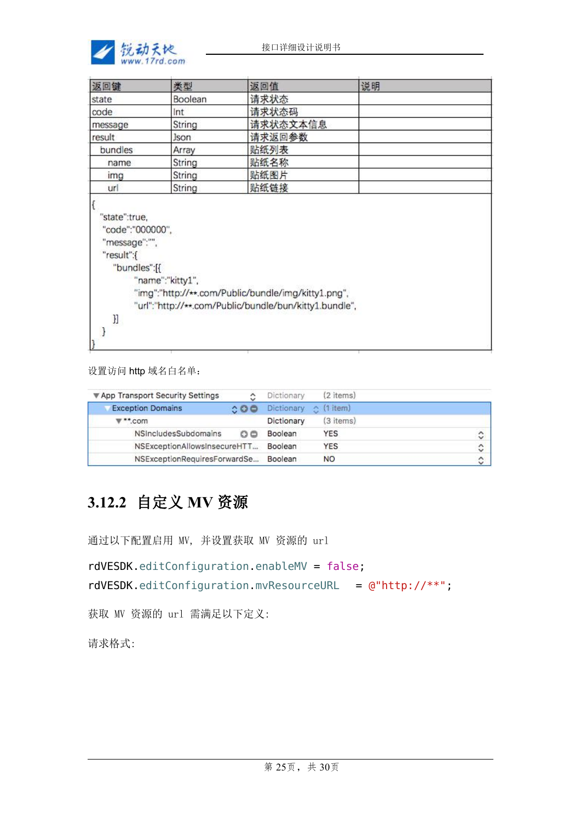

| 返回键                                                             | 类型               | 返回值                                                                                                           | 说明 |  |
|-----------------------------------------------------------------|------------------|---------------------------------------------------------------------------------------------------------------|----|--|
| state                                                           | Boolean          | 请求状态                                                                                                          |    |  |
| code                                                            | Int              | 请求状态码                                                                                                         |    |  |
| message                                                         | String           | 请求状态文本信息                                                                                                      |    |  |
| result                                                          | <b>Json</b>      | 请求返回参数                                                                                                        |    |  |
| bundles                                                         | Array            | 贴纸列表                                                                                                          |    |  |
| name                                                            | String           | 贴纸名称                                                                                                          |    |  |
| img                                                             | String           | 贴纸图片                                                                                                          |    |  |
| url                                                             | String           | 贴纸链接                                                                                                          |    |  |
| "code":"000000",<br>"message":"",<br>"result":{<br>"bundles":[{ | "name":"kitty1", | "img":"http://**.com/Public/bundle/img/kitty1.png",<br>"url":"http://**.com/Public/bundle/bun/kitty1.bundle", |    |  |
| }]                                                              |                  |                                                                                                               |    |  |

设置访问 http 域名白名单:

| ▼ App Transport Security Settings | ٥                   | Dictionary        | (2 items)             |               |
|-----------------------------------|---------------------|-------------------|-----------------------|---------------|
| <b>Exception Domains</b>          | $\circ \circ \circ$ | <b>Dictionary</b> | $\therefore$ (1 item) |               |
| $v^*$ .com                        |                     | Dictionary        | (3 items)             |               |
| NSIncludesSubdomains              | 00                  | Boolean           | YES                   | $\hat{\cdot}$ |
| NSExceptionAllowsInsecureHTT      |                     | Boolean           | <b>YES</b>            | ़             |
| NSExceptionRequiresForwardSe      |                     | Boolean           | <b>NO</b>             | $\hat{C}$     |

### **3.12.2** 自定义 **MV** 资源

通过以下配置启用 MV, 并设置获取 MV 资源的 url

```
rdVESDK.editConfiguration.enableMV = false;
rdVESDK.editConfiguration.mvResourceURL = @"http://***";
```
获取 MV 资源的 url 需满足以下定义:

请求格式: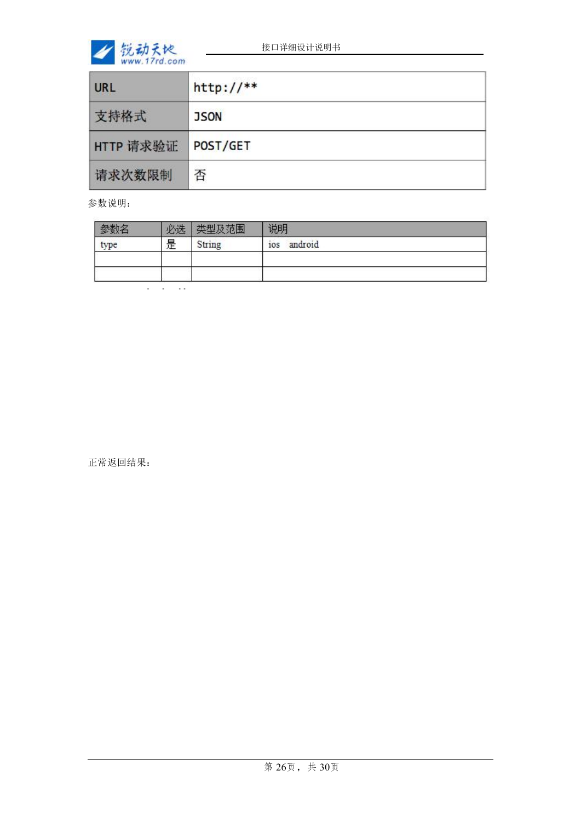

| URL       | $http://**$ |
|-----------|-------------|
| 支持格式      | <b>JSON</b> |
| HTTP 请求验证 | POST/GET    |
| 请求次数限制    | 否           |

参数说明:

|      | 心生         |        | 说明                       |
|------|------------|--------|--------------------------|
| type | 是          | String | android<br>$\sim$<br>10S |
|      |            |        |                          |
|      | $-$<br>. . |        |                          |

正常返回结果: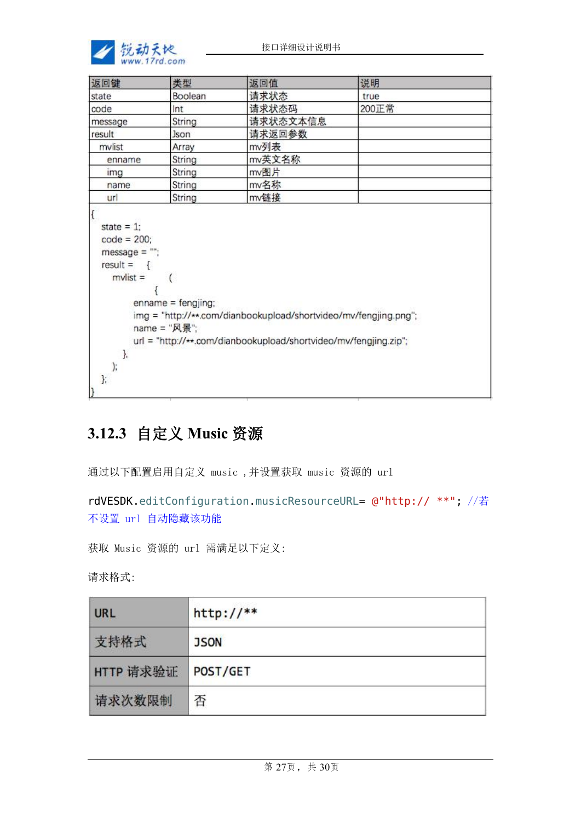

| 返回键                                                                  | 类型                                                 | 返回值                                                                                                                                  | 说明    |  |
|----------------------------------------------------------------------|----------------------------------------------------|--------------------------------------------------------------------------------------------------------------------------------------|-------|--|
| state                                                                | Boolean                                            | 请求状态                                                                                                                                 | true  |  |
| code                                                                 | Int                                                | 请求状态码                                                                                                                                | 200正常 |  |
| message                                                              | String                                             | 请求状态文本信息                                                                                                                             |       |  |
| result                                                               | <b>Json</b>                                        | 请求返回参数                                                                                                                               |       |  |
| mvlist                                                               | Array                                              | mv列表                                                                                                                                 |       |  |
| enname                                                               | String                                             | mv英文名称                                                                                                                               |       |  |
| img                                                                  | String                                             | mv图片                                                                                                                                 |       |  |
| name                                                                 | String                                             | mv名称                                                                                                                                 |       |  |
| url                                                                  | String                                             | mv链接                                                                                                                                 |       |  |
| $message = "";$<br>$result = \{$<br>$mvlist =$<br>},<br>$\mathbf{r}$ | $\sqrt{2}$<br>$enname = fengjing;$<br>name = "风景"; | img = "http://**.com/dianbookupload/shortvideo/mv/fengjing.png";<br>url = "http://**.com/dianbookupload/shortvideo/mv/fengjing.zip"; |       |  |

### **3.12.3** 自定义 **Music** 资源

通过以下配置启用自定义 music ,并设置获取 music 资源的 url

```
rdVESDK.editConfiguration.musicResourceURL= @"http:// **"; //若
不设置 url 自动隐藏该功能
```
获取 Music 资源的 url 需满足以下定义:

请求格式:

| <b>URL</b> | $http://**$ |
|------------|-------------|
| 支持格式       | <b>JSON</b> |
| HTTP 请求验证  | POST/GET    |
| 请求次数限制     | 否           |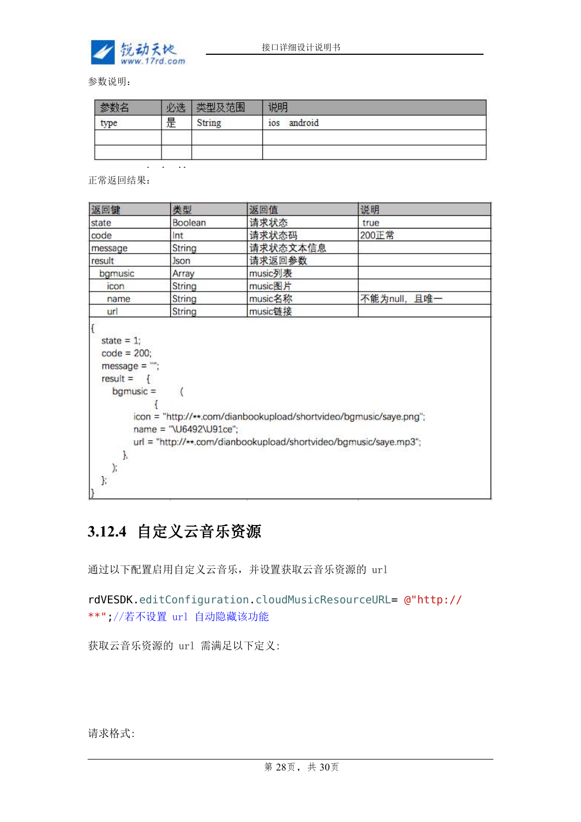

参数说明:

|      | 必选 |        | 说明             |
|------|----|--------|----------------|
| type | 是  | String | android<br>ios |
|      |    |        |                |
|      |    |        |                |

正常返回结果:

J.  $\mathcal{E}$ };

| 返回键                                                                                | 类型      | 返回值      | 说明           |
|------------------------------------------------------------------------------------|---------|----------|--------------|
| state                                                                              | Boolean | 请求状态     | true         |
| code                                                                               | Int     | 请求状态码    | 200正常        |
| message                                                                            | String  | 请求状态文本信息 |              |
| result                                                                             | Json    | 请求返回参数   |              |
| bgmusic                                                                            | Array   | music列表  |              |
| icon                                                                               | String  | music图片  |              |
| name                                                                               | String  | music名称  | 不能为null, 且唯一 |
| url                                                                                | String  | music链接  |              |
| state $= 1$ ;<br>$code = 200;$<br>$message = "$ ;<br>$result = \{$<br>$b$ gmusic = |         |          |              |

### **3.12.4** 自定义云音乐资源

name = "\U6492\U91ce";

通过以下配置启用自定义云音乐,并设置获取云音乐资源的 url

rdVESDK.editConfiguration.cloudMusicResourceURL= @"http:// \*\*";//若不设置 url 自动隐藏该功能

url = "http://\*\*.com/dianbookupload/shortvideo/bgmusic/saye.mp3";

获取云音乐资源的 url 需满足以下定义:

请求格式: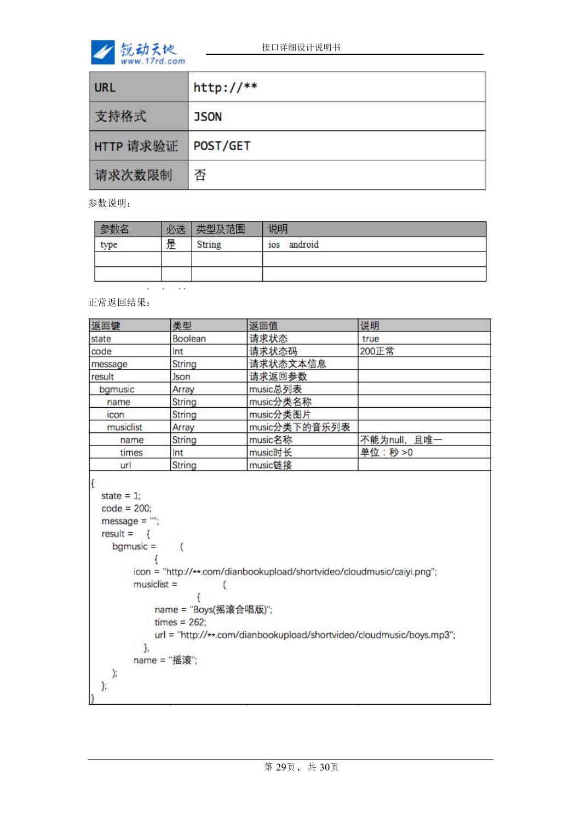

| <b>URL</b> | $http://**$ |
|------------|-------------|
| 支持格式       | <b>JSON</b> |
| HTTP 请求验证  | POST/GET    |
| 请求次数限制     | 否           |

参数说明:

|      | $.022 +$   | 范围     | 说明             |
|------|------------|--------|----------------|
| type | 是          | String | android<br>ios |
|      |            |        |                |
|      |            |        |                |
|      | ---<br>. . |        |                |

正常返回结果:

| 返回键                                                              | 类型                                                  | 返回值                                                                                                                                            | 说明           |
|------------------------------------------------------------------|-----------------------------------------------------|------------------------------------------------------------------------------------------------------------------------------------------------|--------------|
| state                                                            | Boolean                                             | 请求状态                                                                                                                                           | true         |
| code                                                             | Int                                                 | 请求状态码                                                                                                                                          | 200正常        |
| message                                                          | String                                              | 请求状态文本信息                                                                                                                                       |              |
| result                                                           | Json                                                | 请求返回参数                                                                                                                                         |              |
| bgmusic                                                          | Array                                               | music总列表                                                                                                                                       |              |
| name                                                             | String                                              | music分类名称                                                                                                                                      |              |
| icon                                                             | String                                              | music分类图片                                                                                                                                      |              |
| musiclist                                                        | Array                                               | music分类下的音乐列表                                                                                                                                  |              |
| name                                                             | String                                              | music名称                                                                                                                                        | 不能为null, 且唯一 |
| times                                                            | Int                                                 | music时长                                                                                                                                        | 单位:秒>0       |
| url                                                              | String                                              | music链接                                                                                                                                        |              |
| state = $1$ ;<br>$code = 200$ ;<br>$message = "$ ;<br>$result =$ |                                                     |                                                                                                                                                |              |
| $b$ gmusic =<br>$musiclist =$<br>J,                              | $\langle$<br>name = "Boys(摇滚合唱版)";<br>$times = 262$ | icon = "http://**.com/dianbookupload/shortvideo/cloudmusic/caiyi.png";<br>url = "http://**.com/dianbookupload/shortvideo/cloudmusic/boys.mp3"; |              |
| );<br>};                                                         | name = "摇滚";                                        |                                                                                                                                                |              |